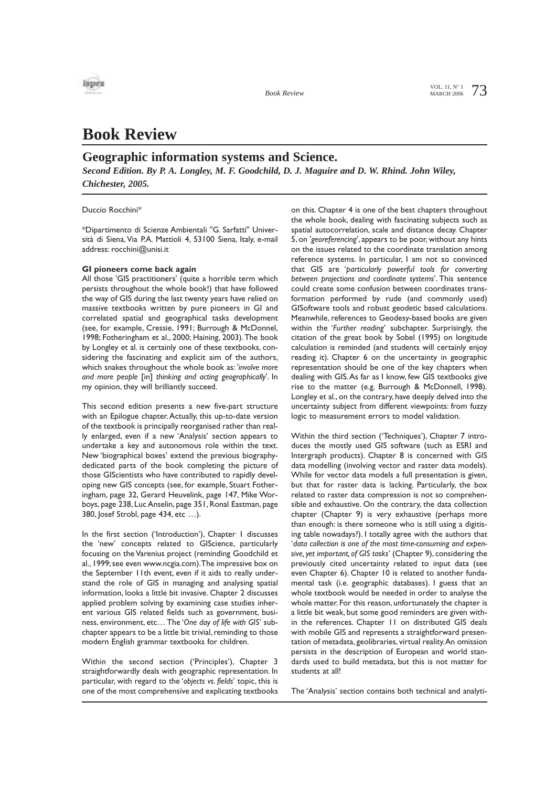

**Book Review** MARCH 2006

# **Book Review**

### **Geographic information systems and Science.**

*Second Edition. By P. A. Longley, M. F. Goodchild, D. J. Maguire and D. W. Rhind. John Wiley, Chichester, 2005.* 

Duccio Rocchini\*

\*Dipartimento di Scienze Ambientali "G. Sarfatti" Università di Siena, Via P.A. Mattioli 4, 53100 Siena, Italy, e-mail address: rocchini@unisi.it

#### **GI pioneers come back again**

All those 'GIS practitioners' (quite a horrible term which persists throughout the whole book!) that have followed the way of GIS during the last twenty years have relied on massive textbooks written by pure pioneers in GI and correlated spatial and geographical tasks development (see, for example, Cressie, 1991; Burrough & McDonnel, 1998; Fotheringham et al., 2000; Haining, 2003).The book by Longley et al. is certainly one of these textbooks, considering the fascinating and explicit aim of the authors, which snakes throughout the whole book as: '*involve more and more people* [in] *thinking and acting geographically*'. In my opinion, they will brilliantly succeed.

This second edition presents a new five-part structure with an Epilogue chapter. Actually, this up-to-date version of the textbook is principally reorganised rather than really enlarged, even if a new 'Analysis' section appears to undertake a key and autonomous role within the text. New 'biographical boxes' extend the previous biographydedicated parts of the book completing the picture of those GIScientists who have contributed to rapidly developing new GIS concepts (see, for example, Stuart Fotheringham, page 32, Gerard Heuvelink, page 147, Mike Worboys, page 238, Luc Anselin, page 351, Ronal Eastman, page 380, Josef Strobl, page 434, etc …).

In the first section ('Introduction'), Chapter I discusses the 'new' concepts related to GIScience, particularly focusing on the Varenius project (reminding Goodchild et al., 1999; see even www.ncgia.com).The impressive box on the September 11th event, even if it aids to really understand the role of GIS in managing and analysing spatial information, looks a little bit invasive. Chapter 2 discusses applied problem solving by examining case studies inherent various GIS related fields such as government, business, environment, etc… The '*One day of life with GIS*' subchapter appears to be a little bit trivial, reminding to those modern English grammar textbooks for children.

Within the second section ('Principles'), Chapter 3 straightforwardly deals with geographic representation. In particular, with regard to the '*objects vs. fields*' topic, this is one of the most comprehensive and explicating textbooks on this. Chapter 4 is one of the best chapters throughout the whole book, dealing with fascinating subjects such as spatial autocorrelation, scale and distance decay. Chapter 5, on '*georeferencing*', appears to be poor, without any hints on the issues related to the coordinate translation among reference systems. In particular, I am not so convinced that GIS are '*particularly powerful tools for converting between projections and coordinate systems*'. This sentence could create some confusion between coordinates transformation performed by rude (and commonly used) GISoftware tools and robust geodetic based calculations. Meanwhile, references to Geodesy-based books are given within the '*Further reading*' subchapter. Surprisingly, the citation of the great book by Sobel (1995) on longitude calculation is reminded (and students will certainly enjoy reading it). Chapter 6 on the uncertainty in geographic representation should be one of the key chapters when dealing with GIS.As far as I know, few GIS textbooks give rise to the matter (e.g. Burrough & McDonnell, 1998). Longley et al., on the contrary, have deeply delved into the uncertainty subject from different viewpoints: from fuzzy logic to measurement errors to model validation.

Within the third section ('Techniques'), Chapter 7 introduces the mostly used GIS software (such as ESRI and Intergraph products). Chapter 8 is concerned with GIS data modelling (involving vector and raster data models). While for vector data models a full presentation is given, but that for raster data is lacking. Particularly, the box related to raster data compression is not so comprehensible and exhaustive. On the contrary, the data collection chapter (Chapter 9) is very exhaustive (perhaps more than enough: is there someone who is still using a digitising table nowadays?). I totally agree with the authors that '*data collection is one of the most time-consuming and expensive, yet important, of GIS tasks*' (Chapter 9), considering the previously cited uncertainty related to input data (see even Chapter 6). Chapter 10 is related to another fundamental task (i.e. geographic databases). I guess that an whole textbook would be needed in order to analyse the whole matter. For this reason, unfortunately the chapter is a little bit weak, but some good reminders are given within the references. Chapter 11 on distributed GIS deals with mobile GIS and represents a straightforward presentation of metadata, geolibraries, virtual reality.An omission persists in the description of European and world standards used to build metadata, but this is not matter for students at all!

The 'Analysis' section contains both technical and analyti-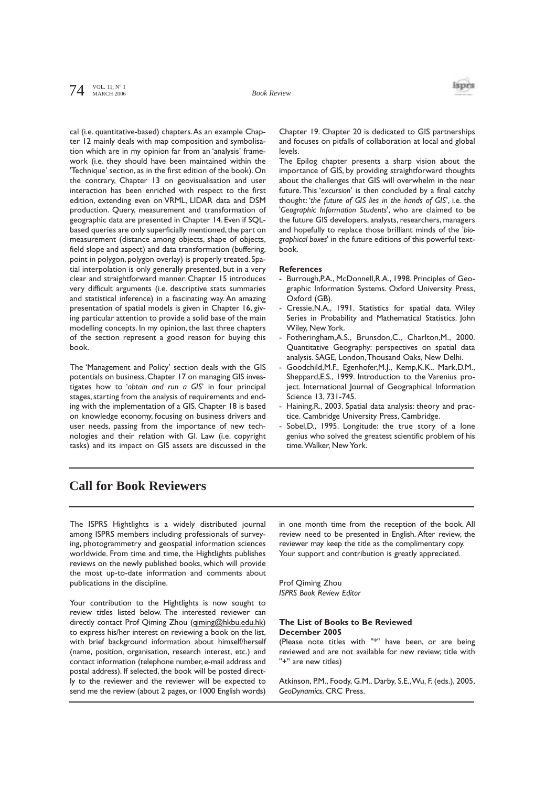

cal (i.e. quantitative-based) chapters.As an example Chapter 12 mainly deals with map composition and symbolisation which are in my opinion far from an 'analysis' framework (i.e. they should have been maintained within the 'Technique' section, as in the first edition of the book). On the contrary, Chapter 13 on geovisualisation and user interaction has been enriched with respect to the first edition, extending even on VRML, LIDAR data and DSM production. Query, measurement and transformation of geographic data are presented in Chapter 14. Even if SQLbased queries are only superficially mentioned, the part on measurement (distance among objects, shape of objects, field slope and aspect) and data transformation (buffering, point in polygon, polygon overlay) is properly treated. Spatial interpolation is only generally presented, but in a very clear and straightforward manner. Chapter 15 introduces very difficult arguments (i.e. descriptive stats summaries and statistical inference) in a fascinating way. An amazing presentation of spatial models is given in Chapter 16, giving particular attention to provide a solid base of the main modelling concepts. In my opinion, the last three chapters of the section represent a good reason for buying this book.

The 'Management and Policy' section deals with the GIS potentials on business. Chapter 17 on managing GIS investigates how to '*obtain and run a GIS*' in four principal stages, starting from the analysis of requirements and ending with the implementation of a GIS. Chapter 18 is based on knowledge economy, focusing on business drivers and user needs, passing from the importance of new technologies and their relation with GI. Law (i.e. copyright tasks) and its impact on GIS assets are discussed in the

Chapter 19. Chapter 20 is dedicated to GIS partnerships and focuses on pitfalls of collaboration at local and global levels.

The Epilog chapter presents a sharp vision about the importance of GIS, by providing straightforward thoughts about the challenges that GIS will overwhelm in the near future.This '*excursion*' is then concluded by a final catchy thought: '*the future of GIS lies in the hands of GIS*', i.e. the '*Geographic Information Students*', who are claimed to be the future GIS developers, analysts, researchers, managers and hopefully to replace those brilliant minds of the '*biographical boxes*' in the future editions of this powerful textbook.

#### **References**

- Burrough, P.A., McDonnell, R.A., 1998. Principles of Geographic Information Systems. Oxford University Press, Oxford (GB).
- Cressie, N.A., 1991. Statistics for spatial data. Wiley Series in Probability and Mathematical Statistics. John Wiley, New York.
- Fotheringham,A.S., Brunsdon,C., Charlton,M., 2000. Quantitative Geography: perspectives on spatial data analysis. SAGE, London,Thousand Oaks, New Delhi.
- Goodchild,M.F., Egenhofer,M.J., Kemp,K.K., Mark,D.M., Sheppard,E.S., 1999. Introduction to the Varenius project. International Journal of Geographical Information Science 13, 731-745.
- Haining, R., 2003. Spatial data analysis: theory and practice. Cambridge University Press, Cambridge.
- Sobel, D., 1995. Longitude: the true story of a lone genius who solved the greatest scientific problem of his time.Walker, New York.

## **Call for Book Reviewers**

The ISPRS Hightlights is a widely distributed journal among ISPRS members including professionals of surveying, photogrammetry and geospatial information sciences worldwide. From time and time, the Hightlights publishes reviews on the newly published books, which will provide the most up-to-date information and comments about publications in the discipline.

Your contribution to the Hightlights is now sought to review titles listed below. The interested reviewer can directly contact Prof Qiming Zhou (qiming@hkbu.edu.hk) to express his/her interest on reviewing a book on the list, with brief background information about himself/herself (name, position, organisation, research interest, etc.) and contact information (telephone number, e-mail address and postal address). If selected, the book will be posted directly to the reviewer and the reviewer will be expected to send me the review (about 2 pages, or 1000 English words) in one month time from the reception of the book. All review need to be presented in English. After review, the reviewer may keep the title as the complimentary copy. Your support and contribution is greatly appreciated.

Prof Qiming Zhou *ISPRS Book Review Editor*

#### **The List of Books to Be Reviewed December 2005**

(Please note titles with "\*" have been, or are being reviewed and are not available for new review; title with "+" are new titles)

Atkinson, P.M., Foody, G.M., Darby, S.E.,Wu, F. (eds.), 2005, *GeoDynamics*, CRC Press.